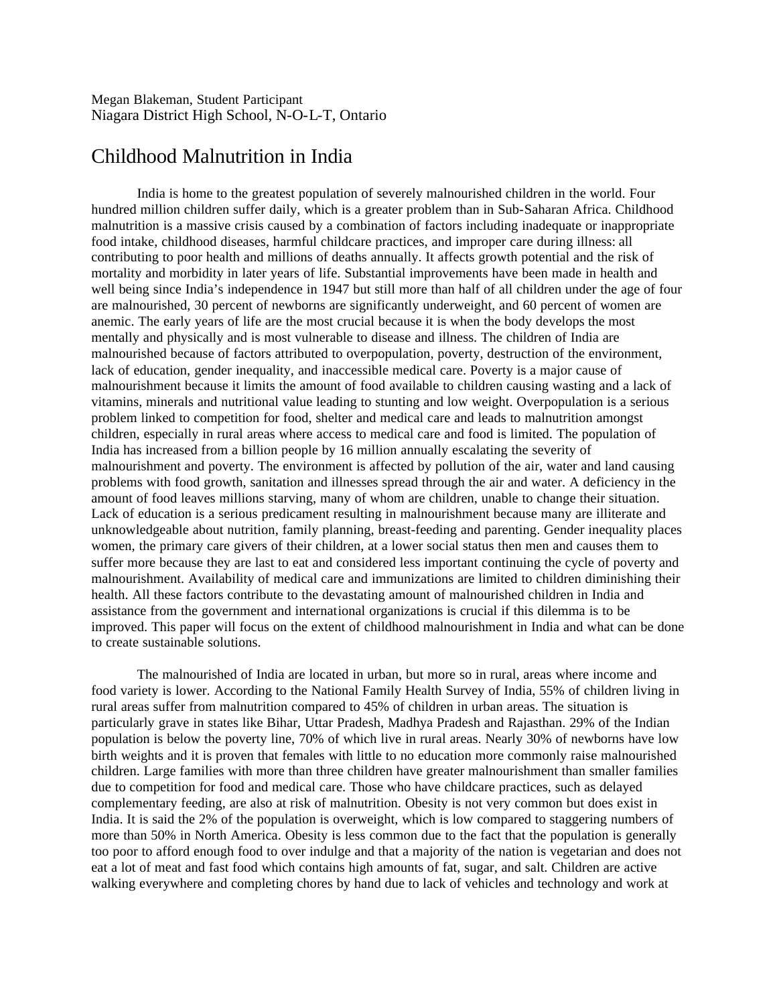Megan Blakeman, Student Participant Niagara District High School, N-O-L-T, Ontario

## Childhood Malnutrition in India

India is home to the greatest population of severely malnourished children in the world. Four hundred million children suffer daily, which is a greater problem than in Sub-Saharan Africa. Childhood malnutrition is a massive crisis caused by a combination of factors including inadequate or inappropriate food intake, childhood diseases, harmful childcare practices, and improper care during illness: all contributing to poor health and millions of deaths annually. It affects growth potential and the risk of mortality and morbidity in later years of life. Substantial improvements have been made in health and well being since India's independence in 1947 but still more than half of all children under the age of four are malnourished, 30 percent of newborns are significantly underweight, and 60 percent of women are anemic. The early years of life are the most crucial because it is when the body develops the most mentally and physically and is most vulnerable to disease and illness. The children of India are malnourished because of factors attributed to overpopulation, poverty, destruction of the environment, lack of education, gender inequality, and inaccessible medical care. Poverty is a major cause of malnourishment because it limits the amount of food available to children causing wasting and a lack of vitamins, minerals and nutritional value leading to stunting and low weight. Overpopulation is a serious problem linked to competition for food, shelter and medical care and leads to malnutrition amongst children, especially in rural areas where access to medical care and food is limited. The population of India has increased from a billion people by 16 million annually escalating the severity of malnourishment and poverty. The environment is affected by pollution of the air, water and land causing problems with food growth, sanitation and illnesses spread through the air and water. A deficiency in the amount of food leaves millions starving, many of whom are children, unable to change their situation. Lack of education is a serious predicament resulting in malnourishment because many are illiterate and unknowledgeable about nutrition, family planning, breast-feeding and parenting. Gender inequality places women, the primary care givers of their children, at a lower social status then men and causes them to suffer more because they are last to eat and considered less important continuing the cycle of poverty and malnourishment. Availability of medical care and immunizations are limited to children diminishing their health. All these factors contribute to the devastating amount of malnourished children in India and assistance from the government and international organizations is crucial if this dilemma is to be improved. This paper will focus on the extent of childhood malnourishment in India and what can be done to create sustainable solutions.

The malnourished of India are located in urban, but more so in rural, areas where income and food variety is lower. According to the National Family Health Survey of India, 55% of children living in rural areas suffer from malnutrition compared to 45% of children in urban areas. The situation is particularly grave in states like Bihar, Uttar Pradesh, Madhya Pradesh and Rajasthan. 29% of the Indian population is below the poverty line, 70% of which live in rural areas. Nearly 30% of newborns have low birth weights and it is proven that females with little to no education more commonly raise malnourished children. Large families with more than three children have greater malnourishment than smaller families due to competition for food and medical care. Those who have childcare practices, such as delayed complementary feeding, are also at risk of malnutrition. Obesity is not very common but does exist in India. It is said the 2% of the population is overweight, which is low compared to staggering numbers of more than 50% in North America. Obesity is less common due to the fact that the population is generally too poor to afford enough food to over indulge and that a majority of the nation is vegetarian and does not eat a lot of meat and fast food which contains high amounts of fat, sugar, and salt. Children are active walking everywhere and completing chores by hand due to lack of vehicles and technology and work at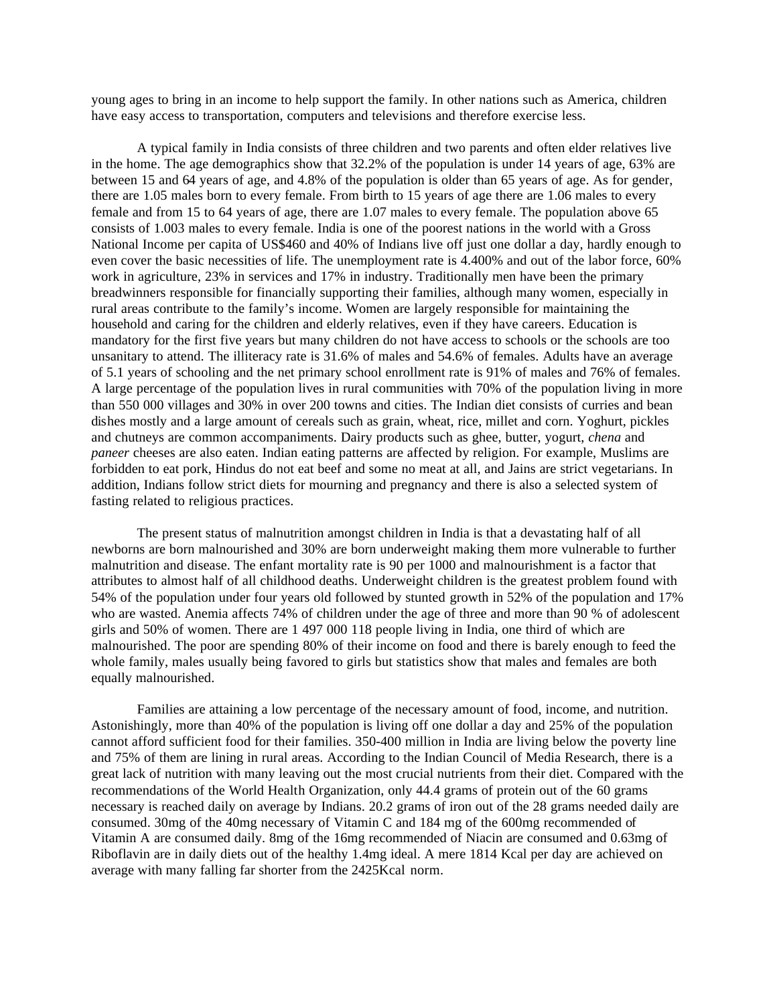young ages to bring in an income to help support the family. In other nations such as America, children have easy access to transportation, computers and televisions and therefore exercise less.

A typical family in India consists of three children and two parents and often elder relatives live in the home. The age demographics show that 32.2% of the population is under 14 years of age, 63% are between 15 and 64 years of age, and 4.8% of the population is older than 65 years of age. As for gender, there are 1.05 males born to every female. From birth to 15 years of age there are 1.06 males to every female and from 15 to 64 years of age, there are 1.07 males to every female. The population above 65 consists of 1.003 males to every female. India is one of the poorest nations in the world with a Gross National Income per capita of US\$460 and 40% of Indians live off just one dollar a day, hardly enough to even cover the basic necessities of life. The unemployment rate is 4.400% and out of the labor force, 60% work in agriculture, 23% in services and 17% in industry. Traditionally men have been the primary breadwinners responsible for financially supporting their families, although many women, especially in rural areas contribute to the family's income. Women are largely responsible for maintaining the household and caring for the children and elderly relatives, even if they have careers. Education is mandatory for the first five years but many children do not have access to schools or the schools are too unsanitary to attend. The illiteracy rate is 31.6% of males and 54.6% of females. Adults have an average of 5.1 years of schooling and the net primary school enrollment rate is 91% of males and 76% of females. A large percentage of the population lives in rural communities with 70% of the population living in more than 550 000 villages and 30% in over 200 towns and cities. The Indian diet consists of curries and bean dishes mostly and a large amount of cereals such as grain, wheat, rice, millet and corn. Yoghurt, pickles and chutneys are common accompaniments. Dairy products such as ghee, butter, yogurt, *chena* and *paneer* cheeses are also eaten. Indian eating patterns are affected by religion. For example, Muslims are forbidden to eat pork, Hindus do not eat beef and some no meat at all, and Jains are strict vegetarians. In addition, Indians follow strict diets for mourning and pregnancy and there is also a selected system of fasting related to religious practices.

The present status of malnutrition amongst children in India is that a devastating half of all newborns are born malnourished and 30% are born underweight making them more vulnerable to further malnutrition and disease. The enfant mortality rate is 90 per 1000 and malnourishment is a factor that attributes to almost half of all childhood deaths. Underweight children is the greatest problem found with 54% of the population under four years old followed by stunted growth in 52% of the population and 17% who are wasted. Anemia affects 74% of children under the age of three and more than 90 % of adolescent girls and 50% of women. There are 1 497 000 118 people living in India, one third of which are malnourished. The poor are spending 80% of their income on food and there is barely enough to feed the whole family, males usually being favored to girls but statistics show that males and females are both equally malnourished.

Families are attaining a low percentage of the necessary amount of food, income, and nutrition. Astonishingly, more than 40% of the population is living off one dollar a day and 25% of the population cannot afford sufficient food for their families. 350-400 million in India are living below the poverty line and 75% of them are lining in rural areas. According to the Indian Council of Media Research, there is a great lack of nutrition with many leaving out the most crucial nutrients from their diet. Compared with the recommendations of the World Health Organization, only 44.4 grams of protein out of the 60 grams necessary is reached daily on average by Indians. 20.2 grams of iron out of the 28 grams needed daily are consumed. 30mg of the 40mg necessary of Vitamin C and 184 mg of the 600mg recommended of Vitamin A are consumed daily. 8mg of the 16mg recommended of Niacin are consumed and 0.63mg of Riboflavin are in daily diets out of the healthy 1.4mg ideal. A mere 1814 Kcal per day are achieved on average with many falling far shorter from the 2425Kcal norm.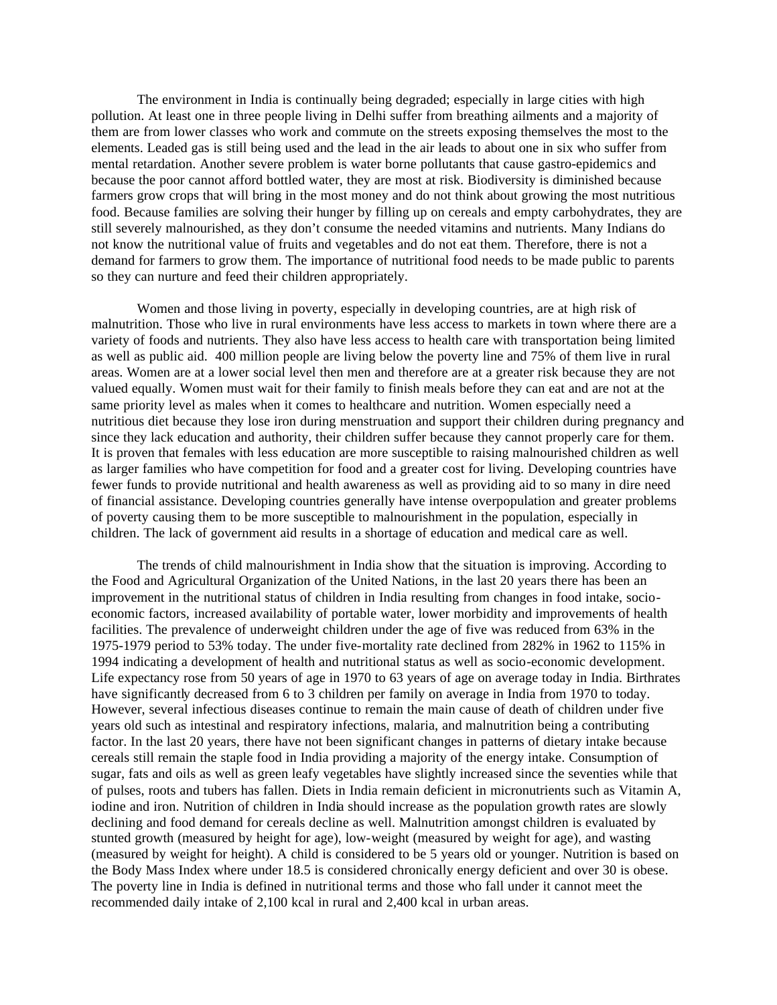The environment in India is continually being degraded; especially in large cities with high pollution. At least one in three people living in Delhi suffer from breathing ailments and a majority of them are from lower classes who work and commute on the streets exposing themselves the most to the elements. Leaded gas is still being used and the lead in the air leads to about one in six who suffer from mental retardation. Another severe problem is water borne pollutants that cause gastro-epidemics and because the poor cannot afford bottled water, they are most at risk. Biodiversity is diminished because farmers grow crops that will bring in the most money and do not think about growing the most nutritious food. Because families are solving their hunger by filling up on cereals and empty carbohydrates, they are still severely malnourished, as they don't consume the needed vitamins and nutrients. Many Indians do not know the nutritional value of fruits and vegetables and do not eat them. Therefore, there is not a demand for farmers to grow them. The importance of nutritional food needs to be made public to parents so they can nurture and feed their children appropriately.

Women and those living in poverty, especially in developing countries, are at high risk of malnutrition. Those who live in rural environments have less access to markets in town where there are a variety of foods and nutrients. They also have less access to health care with transportation being limited as well as public aid. 400 million people are living below the poverty line and 75% of them live in rural areas. Women are at a lower social level then men and therefore are at a greater risk because they are not valued equally. Women must wait for their family to finish meals before they can eat and are not at the same priority level as males when it comes to healthcare and nutrition. Women especially need a nutritious diet because they lose iron during menstruation and support their children during pregnancy and since they lack education and authority, their children suffer because they cannot properly care for them. It is proven that females with less education are more susceptible to raising malnourished children as well as larger families who have competition for food and a greater cost for living. Developing countries have fewer funds to provide nutritional and health awareness as well as providing aid to so many in dire need of financial assistance. Developing countries generally have intense overpopulation and greater problems of poverty causing them to be more susceptible to malnourishment in the population, especially in children. The lack of government aid results in a shortage of education and medical care as well.

The trends of child malnourishment in India show that the situation is improving. According to the Food and Agricultural Organization of the United Nations, in the last 20 years there has been an improvement in the nutritional status of children in India resulting from changes in food intake, socioeconomic factors, increased availability of portable water, lower morbidity and improvements of health facilities. The prevalence of underweight children under the age of five was reduced from 63% in the 1975-1979 period to 53% today. The under five-mortality rate declined from 282% in 1962 to 115% in 1994 indicating a development of health and nutritional status as well as socio-economic development. Life expectancy rose from 50 years of age in 1970 to 63 years of age on average today in India. Birthrates have significantly decreased from 6 to 3 children per family on average in India from 1970 to today. However, several infectious diseases continue to remain the main cause of death of children under five years old such as intestinal and respiratory infections, malaria, and malnutrition being a contributing factor. In the last 20 years, there have not been significant changes in patterns of dietary intake because cereals still remain the staple food in India providing a majority of the energy intake. Consumption of sugar, fats and oils as well as green leafy vegetables have slightly increased since the seventies while that of pulses, roots and tubers has fallen. Diets in India remain deficient in micronutrients such as Vitamin A, iodine and iron. Nutrition of children in India should increase as the population growth rates are slowly declining and food demand for cereals decline as well. Malnutrition amongst children is evaluated by stunted growth (measured by height for age), low-weight (measured by weight for age), and wasting (measured by weight for height). A child is considered to be 5 years old or younger. Nutrition is based on the Body Mass Index where under 18.5 is considered chronically energy deficient and over 30 is obese. The poverty line in India is defined in nutritional terms and those who fall under it cannot meet the recommended daily intake of 2,100 kcal in rural and 2,400 kcal in urban areas.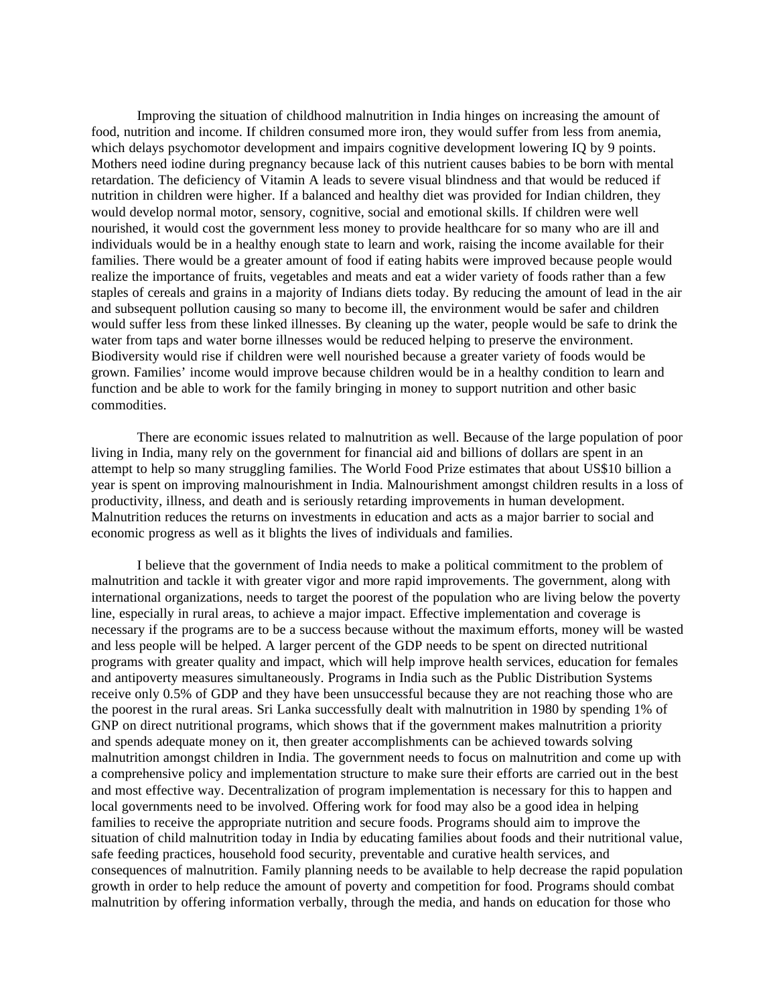Improving the situation of childhood malnutrition in India hinges on increasing the amount of food, nutrition and income. If children consumed more iron, they would suffer from less from anemia, which delays psychomotor development and impairs cognitive development lowering IQ by 9 points. Mothers need iodine during pregnancy because lack of this nutrient causes babies to be born with mental retardation. The deficiency of Vitamin A leads to severe visual blindness and that would be reduced if nutrition in children were higher. If a balanced and healthy diet was provided for Indian children, they would develop normal motor, sensory, cognitive, social and emotional skills. If children were well nourished, it would cost the government less money to provide healthcare for so many who are ill and individuals would be in a healthy enough state to learn and work, raising the income available for their families. There would be a greater amount of food if eating habits were improved because people would realize the importance of fruits, vegetables and meats and eat a wider variety of foods rather than a few staples of cereals and grains in a majority of Indians diets today. By reducing the amount of lead in the air and subsequent pollution causing so many to become ill, the environment would be safer and children would suffer less from these linked illnesses. By cleaning up the water, people would be safe to drink the water from taps and water borne illnesses would be reduced helping to preserve the environment. Biodiversity would rise if children were well nourished because a greater variety of foods would be grown. Families' income would improve because children would be in a healthy condition to learn and function and be able to work for the family bringing in money to support nutrition and other basic commodities.

There are economic issues related to malnutrition as well. Because of the large population of poor living in India, many rely on the government for financial aid and billions of dollars are spent in an attempt to help so many struggling families. The World Food Prize estimates that about US\$10 billion a year is spent on improving malnourishment in India. Malnourishment amongst children results in a loss of productivity, illness, and death and is seriously retarding improvements in human development. Malnutrition reduces the returns on investments in education and acts as a major barrier to social and economic progress as well as it blights the lives of individuals and families.

I believe that the government of India needs to make a political commitment to the problem of malnutrition and tackle it with greater vigor and more rapid improvements. The government, along with international organizations, needs to target the poorest of the population who are living below the poverty line, especially in rural areas, to achieve a major impact. Effective implementation and coverage is necessary if the programs are to be a success because without the maximum efforts, money will be wasted and less people will be helped. A larger percent of the GDP needs to be spent on directed nutritional programs with greater quality and impact, which will help improve health services, education for females and antipoverty measures simultaneously. Programs in India such as the Public Distribution Systems receive only 0.5% of GDP and they have been unsuccessful because they are not reaching those who are the poorest in the rural areas. Sri Lanka successfully dealt with malnutrition in 1980 by spending 1% of GNP on direct nutritional programs, which shows that if the government makes malnutrition a priority and spends adequate money on it, then greater accomplishments can be achieved towards solving malnutrition amongst children in India. The government needs to focus on malnutrition and come up with a comprehensive policy and implementation structure to make sure their efforts are carried out in the best and most effective way. Decentralization of program implementation is necessary for this to happen and local governments need to be involved. Offering work for food may also be a good idea in helping families to receive the appropriate nutrition and secure foods. Programs should aim to improve the situation of child malnutrition today in India by educating families about foods and their nutritional value, safe feeding practices, household food security, preventable and curative health services, and consequences of malnutrition. Family planning needs to be available to help decrease the rapid population growth in order to help reduce the amount of poverty and competition for food. Programs should combat malnutrition by offering information verbally, through the media, and hands on education for those who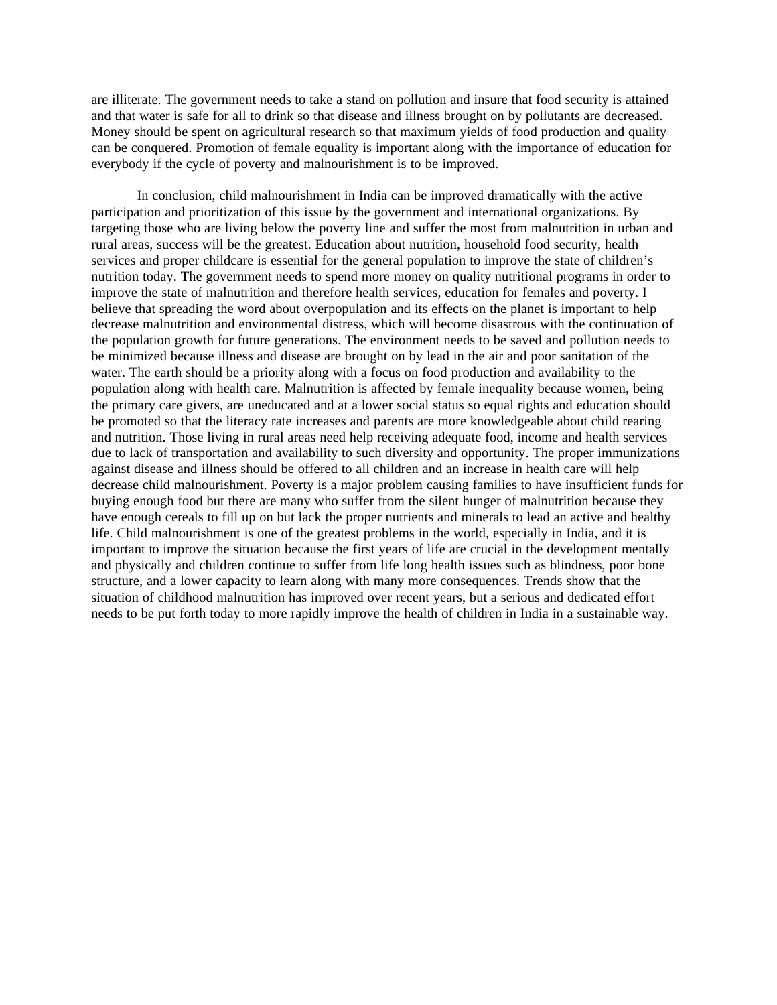are illiterate. The government needs to take a stand on pollution and insure that food security is attained and that water is safe for all to drink so that disease and illness brought on by pollutants are decreased. Money should be spent on agricultural research so that maximum yields of food production and quality can be conquered. Promotion of female equality is important along with the importance of education for everybody if the cycle of poverty and malnourishment is to be improved.

In conclusion, child malnourishment in India can be improved dramatically with the active participation and prioritization of this issue by the government and international organizations. By targeting those who are living below the poverty line and suffer the most from malnutrition in urban and rural areas, success will be the greatest. Education about nutrition, household food security, health services and proper childcare is essential for the general population to improve the state of children's nutrition today. The government needs to spend more money on quality nutritional programs in order to improve the state of malnutrition and therefore health services, education for females and poverty. I believe that spreading the word about overpopulation and its effects on the planet is important to help decrease malnutrition and environmental distress, which will become disastrous with the continuation of the population growth for future generations. The environment needs to be saved and pollution needs to be minimized because illness and disease are brought on by lead in the air and poor sanitation of the water. The earth should be a priority along with a focus on food production and availability to the population along with health care. Malnutrition is affected by female inequality because women, being the primary care givers, are uneducated and at a lower social status so equal rights and education should be promoted so that the literacy rate increases and parents are more knowledgeable about child rearing and nutrition. Those living in rural areas need help receiving adequate food, income and health services due to lack of transportation and availability to such diversity and opportunity. The proper immunizations against disease and illness should be offered to all children and an increase in health care will help decrease child malnourishment. Poverty is a major problem causing families to have insufficient funds for buying enough food but there are many who suffer from the silent hunger of malnutrition because they have enough cereals to fill up on but lack the proper nutrients and minerals to lead an active and healthy life. Child malnourishment is one of the greatest problems in the world, especially in India, and it is important to improve the situation because the first years of life are crucial in the development mentally and physically and children continue to suffer from life long health issues such as blindness, poor bone structure, and a lower capacity to learn along with many more consequences. Trends show that the situation of childhood malnutrition has improved over recent years, but a serious and dedicated effort needs to be put forth today to more rapidly improve the health of children in India in a sustainable way.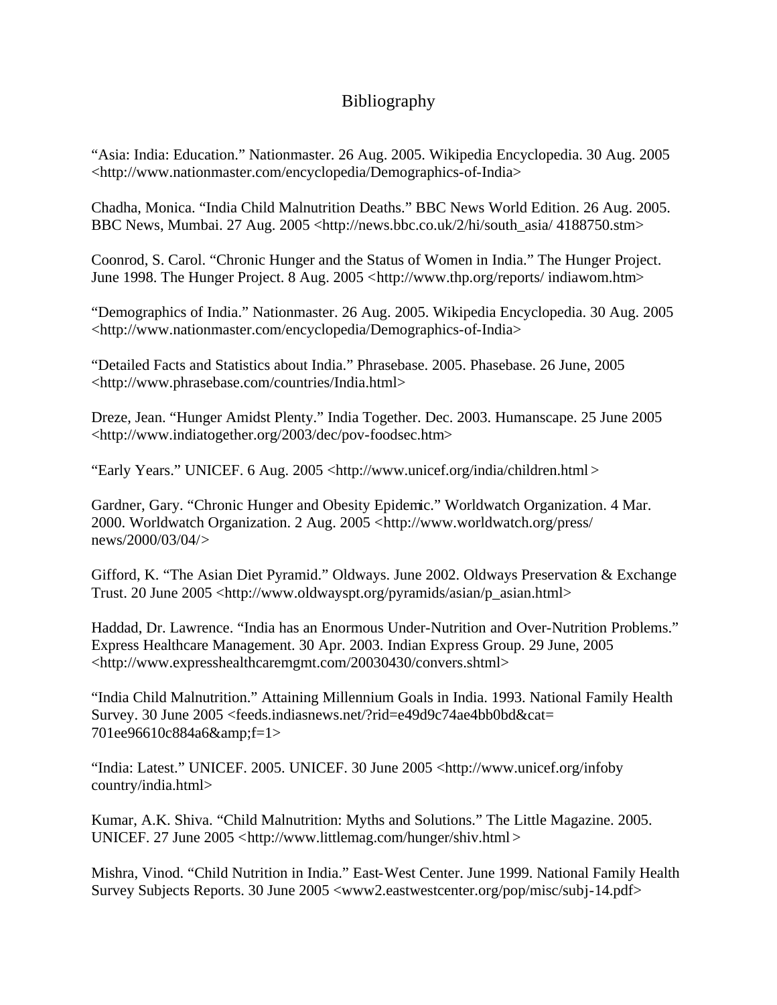## Bibliography

"Asia: India: Education." Nationmaster. 26 Aug. 2005. Wikipedia Encyclopedia. 30 Aug. 2005 <http://www.nationmaster.com/encyclopedia/Demographics-of-India>

Chadha, Monica. "India Child Malnutrition Deaths." BBC News World Edition. 26 Aug. 2005. BBC News, Mumbai. 27 Aug. 2005 <http://news.bbc.co.uk/2/hi/south\_asia/ 4188750.stm>

Coonrod, S. Carol. "Chronic Hunger and the Status of Women in India." The Hunger Project. June 1998. The Hunger Project. 8 Aug. 2005 <http://www.thp.org/reports/ indiawom.htm>

"Demographics of India." Nationmaster. 26 Aug. 2005. Wikipedia Encyclopedia. 30 Aug. 2005 <http://www.nationmaster.com/encyclopedia/Demographics-of-India>

"Detailed Facts and Statistics about India." Phrasebase. 2005. Phasebase. 26 June, 2005 <http://www.phrasebase.com/countries/India.html>

Dreze, Jean. "Hunger Amidst Plenty." India Together. Dec. 2003. Humanscape. 25 June 2005 <http://www.indiatogether.org/2003/dec/pov-foodsec.htm>

"Early Years." UNICEF. 6 Aug. 2005 <http://www.unicef.org/india/children.html >

Gardner, Gary. "Chronic Hunger and Obesity Epidemic." Worldwatch Organization. 4 Mar. 2000. Worldwatch Organization. 2 Aug. 2005 <http://www.worldwatch.org/press/ news/2000/03/04/>

Gifford, K. "The Asian Diet Pyramid." Oldways. June 2002. Oldways Preservation & Exchange Trust. 20 June 2005 <http://www.oldwayspt.org/pyramids/asian/p\_asian.html>

Haddad, Dr. Lawrence. "India has an Enormous Under-Nutrition and Over-Nutrition Problems." Express Healthcare Management. 30 Apr. 2003. Indian Express Group. 29 June, 2005 <http://www.expresshealthcaremgmt.com/20030430/convers.shtml>

"India Child Malnutrition." Attaining Millennium Goals in India. 1993. National Family Health Survey. 30 June 2005 <feeds.indiasnews.net/?rid=e49d9c74ae4bb0bd&cat= 701ee96610c884a6&f=1>

"India: Latest." UNICEF. 2005. UNICEF. 30 June 2005 <http://www.unicef.org/infoby country/india.html>

Kumar, A.K. Shiva. "Child Malnutrition: Myths and Solutions." The Little Magazine. 2005. UNICEF. 27 June 2005 <http://www.littlemag.com/hunger/shiv.html >

Mishra, Vinod. "Child Nutrition in India." East-West Center. June 1999. National Family Health Survey Subjects Reports. 30 June 2005 <www2.eastwestcenter.org/pop/misc/subj-14.pdf>